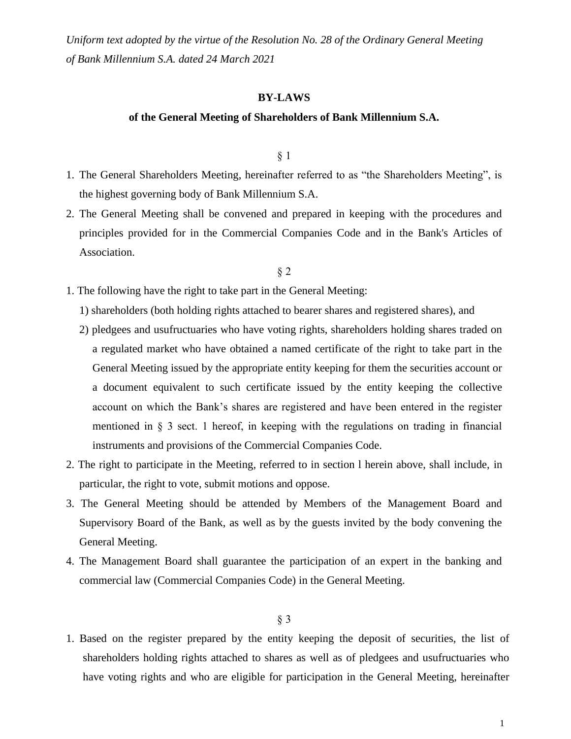*Uniform text adopted by the virtue of the Resolution No. 28 of the Ordinary General Meeting of Bank Millennium S.A. dated 24 March 2021*

#### **BY-LAWS**

#### **of the General Meeting of Shareholders of Bank Millennium S.A.**

§ 1

- 1. The General Shareholders Meeting, hereinafter referred to as "the Shareholders Meeting", is the highest governing body of Bank Millennium S.A.
- 2. The General Meeting shall be convened and prepared in keeping with the procedures and principles provided for in the Commercial Companies Code and in the Bank's Articles of Association.

#### § 2

- 1. The following have the right to take part in the General Meeting:
	- 1) shareholders (both holding rights attached to bearer shares and registered shares), and
	- 2) pledgees and usufructuaries who have voting rights, shareholders holding shares traded on a regulated market who have obtained a named certificate of the right to take part in the General Meeting issued by the appropriate entity keeping for them the securities account or a document equivalent to such certificate issued by the entity keeping the collective account on which the Bank's shares are registered and have been entered in the register mentioned in § 3 sect. 1 hereof, in keeping with the regulations on trading in financial instruments and provisions of the Commercial Companies Code.
- 2. The right to participate in the Meeting, referred to in section l herein above, shall include, in particular, the right to vote, submit motions and oppose.
- 3. The General Meeting should be attended by Members of the Management Board and Supervisory Board of the Bank, as well as by the guests invited by the body convening the General Meeting.
- 4. The Management Board shall guarantee the participation of an expert in the banking and commercial law (Commercial Companies Code) in the General Meeting.

#### § 3

1. Based on the register prepared by the entity keeping the deposit of securities, the list of shareholders holding rights attached to shares as well as of pledgees and usufructuaries who have voting rights and who are eligible for participation in the General Meeting, hereinafter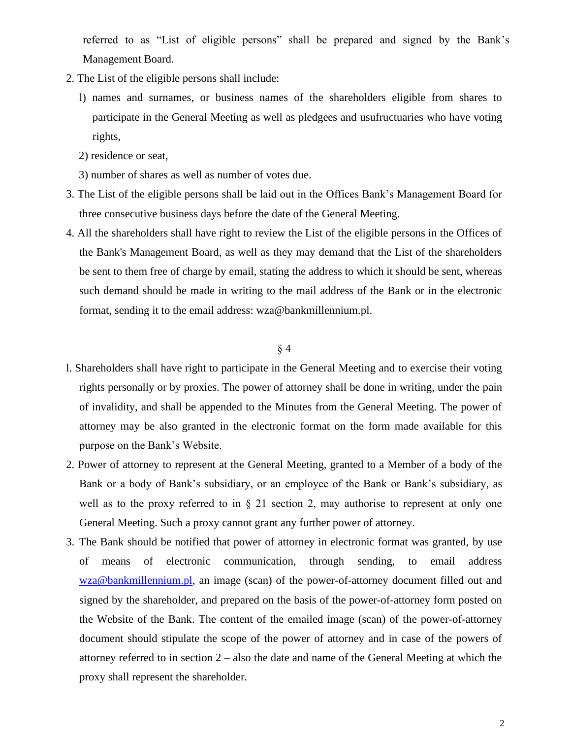referred to as "List of eligible persons" shall be prepared and signed by the Bank's Management Board.

- 2. The List of the eligible persons shall include:
	- l) names and surnames, or business names of the shareholders eligible from shares to participate in the General Meeting as well as pledgees and usufructuaries who have voting rights,
	- 2) residence or seat,
	- 3) number of shares as well as number of votes due.
- 3. The List of the eligible persons shall be laid out in the Offices Bank's Management Board for three consecutive business days before the date of the General Meeting.
- 4. All the shareholders shall have right to review the List of the eligible persons in the Offices of the Bank's Management Board, as well as they may demand that the List of the shareholders be sent to them free of charge by email, stating the address to which it should be sent, whereas such demand should be made in writing to the mail address of the Bank or in the electronic format, sending it to the email address: wza@bankmillennium.pl.

- l. Shareholders shall have right to participate in the General Meeting and to exercise their voting rights personally or by proxies. The power of attorney shall be done in writing, under the pain of invalidity, and shall be appended to the Minutes from the General Meeting. The power of attorney may be also granted in the electronic format on the form made available for this purpose on the Bank's Website.
- 2. Power of attorney to represent at the General Meeting, granted to a Member of a body of the Bank or a body of Bank's subsidiary, or an employee of the Bank or Bank's subsidiary, as well as to the proxy referred to in § 21 section 2, may authorise to represent at only one General Meeting. Such a proxy cannot grant any further power of attorney.
- 3. The Bank should be notified that power of attorney in electronic format was granted, by use of means of electronic communication, through sending, to email address [wza@bankmillennium.pl,](mailto:wza@bankmillennium.pl) an image (scan) of the power-of-attorney document filled out and signed by the shareholder, and prepared on the basis of the power-of-attorney form posted on the Website of the Bank. The content of the emailed image (scan) of the power-of-attorney document should stipulate the scope of the power of attorney and in case of the powers of attorney referred to in section 2 – also the date and name of the General Meeting at which the proxy shall represent the shareholder.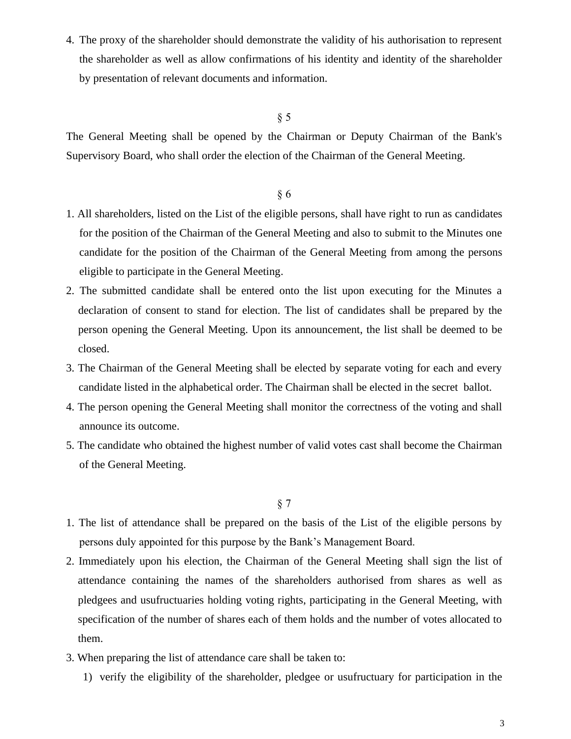4. The proxy of the shareholder should demonstrate the validity of his authorisation to represent the shareholder as well as allow confirmations of his identity and identity of the shareholder by presentation of relevant documents and information.

# § 5

The General Meeting shall be opened by the Chairman or Deputy Chairman of the Bank's Supervisory Board, who shall order the election of the Chairman of the General Meeting.

# § 6

- 1. All shareholders, listed on the List of the eligible persons, shall have right to run as candidates for the position of the Chairman of the General Meeting and also to submit to the Minutes one candidate for the position of the Chairman of the General Meeting from among the persons eligible to participate in the General Meeting.
- 2. The submitted candidate shall be entered onto the list upon executing for the Minutes a declaration of consent to stand for election. The list of candidates shall be prepared by the person opening the General Meeting. Upon its announcement, the list shall be deemed to be closed.
- 3. The Chairman of the General Meeting shall be elected by separate voting for each and every candidate listed in the alphabetical order. The Chairman shall be elected in the secret ballot.
- 4. The person opening the General Meeting shall monitor the correctness of the voting and shall announce its outcome.
- 5. The candidate who obtained the highest number of valid votes cast shall become the Chairman of the General Meeting.

- 1. The list of attendance shall be prepared on the basis of the List of the eligible persons by persons duly appointed for this purpose by the Bank's Management Board.
- 2. Immediately upon his election, the Chairman of the General Meeting shall sign the list of attendance containing the names of the shareholders authorised from shares as well as pledgees and usufructuaries holding voting rights, participating in the General Meeting, with specification of the number of shares each of them holds and the number of votes allocated to them.
- 3. When preparing the list of attendance care shall be taken to:
	- 1) verify the eligibility of the shareholder, pledgee or usufructuary for participation in the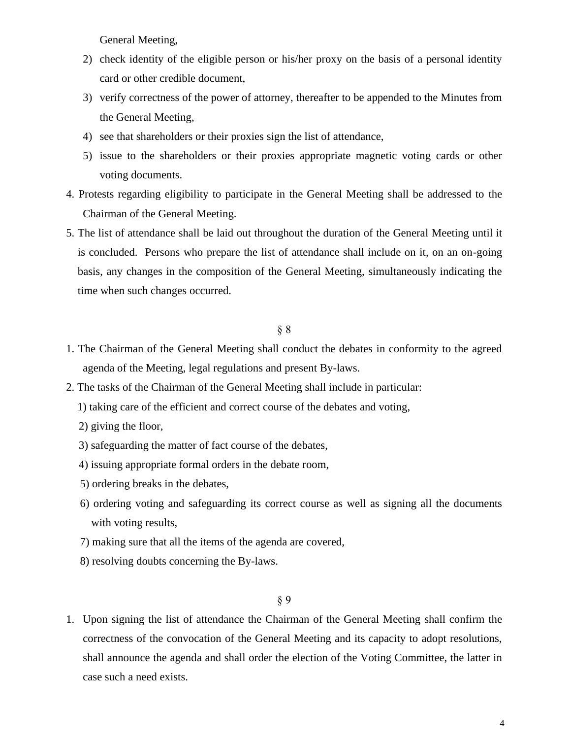General Meeting,

- 2) check identity of the eligible person or his/her proxy on the basis of a personal identity card or other credible document,
- 3) verify correctness of the power of attorney, thereafter to be appended to the Minutes from the General Meeting,
- 4) see that shareholders or their proxies sign the list of attendance,
- 5) issue to the shareholders or their proxies appropriate magnetic voting cards or other voting documents.
- 4. Protests regarding eligibility to participate in the General Meeting shall be addressed to the Chairman of the General Meeting.
- 5. The list of attendance shall be laid out throughout the duration of the General Meeting until it is concluded. Persons who prepare the list of attendance shall include on it, on an on-going basis, any changes in the composition of the General Meeting, simultaneously indicating the time when such changes occurred.

### § 8

- 1. The Chairman of the General Meeting shall conduct the debates in conformity to the agreed agenda of the Meeting, legal regulations and present By-laws.
- 2. The tasks of the Chairman of the General Meeting shall include in particular:
	- 1) taking care of the efficient and correct course of the debates and voting,
	- 2) giving the floor,
	- 3) safeguarding the matter of fact course of the debates,
	- 4) issuing appropriate formal orders in the debate room,
	- 5) ordering breaks in the debates,
	- 6) ordering voting and safeguarding its correct course as well as signing all the documents with voting results,
	- 7) making sure that all the items of the agenda are covered,
	- 8) resolving doubts concerning the By-laws.

## § 9

1. Upon signing the list of attendance the Chairman of the General Meeting shall confirm the correctness of the convocation of the General Meeting and its capacity to adopt resolutions, shall announce the agenda and shall order the election of the Voting Committee, the latter in case such a need exists.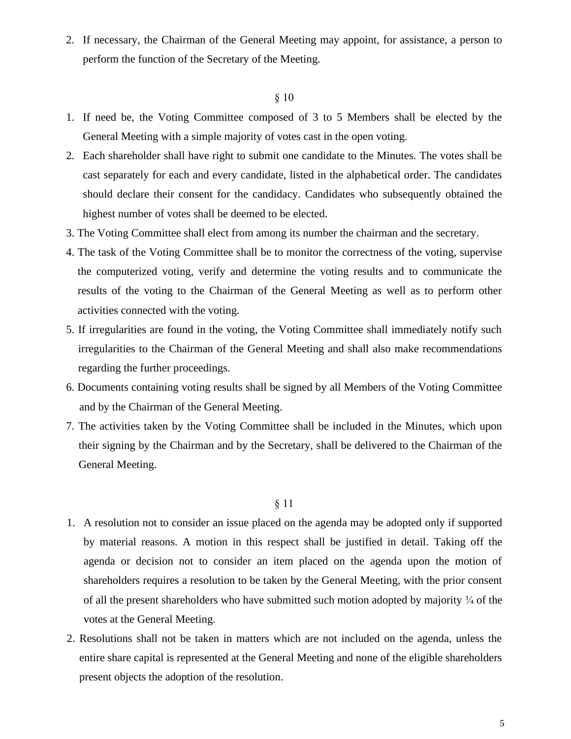2. If necessary, the Chairman of the General Meeting may appoint, for assistance, a person to perform the function of the Secretary of the Meeting.

# § 10

- 1. If need be, the Voting Committee composed of 3 to 5 Members shall be elected by the General Meeting with a simple majority of votes cast in the open voting.
- 2. Each shareholder shall have right to submit one candidate to the Minutes. The votes shall be cast separately for each and every candidate, listed in the alphabetical order. The candidates should declare their consent for the candidacy. Candidates who subsequently obtained the highest number of votes shall be deemed to be elected.
- 3. The Voting Committee shall elect from among its number the chairman and the secretary.
- 4. The task of the Voting Committee shall be to monitor the correctness of the voting, supervise the computerized voting, verify and determine the voting results and to communicate the results of the voting to the Chairman of the General Meeting as well as to perform other activities connected with the voting.
- 5. If irregularities are found in the voting, the Voting Committee shall immediately notify such irregularities to the Chairman of the General Meeting and shall also make recommendations regarding the further proceedings.
- 6. Documents containing voting results shall be signed by all Members of the Voting Committee and by the Chairman of the General Meeting.
- 7. The activities taken by the Voting Committee shall be included in the Minutes, which upon their signing by the Chairman and by the Secretary, shall be delivered to the Chairman of the General Meeting.

- 1. A resolution not to consider an issue placed on the agenda may be adopted only if supported by material reasons. A motion in this respect shall be justified in detail. Taking off the agenda or decision not to consider an item placed on the agenda upon the motion of shareholders requires a resolution to be taken by the General Meeting, with the prior consent of all the present shareholders who have submitted such motion adopted by majority ¾ of the votes at the General Meeting.
- 2. Resolutions shall not be taken in matters which are not included on the agenda, unless the entire share capital is represented at the General Meeting and none of the eligible shareholders present objects the adoption of the resolution.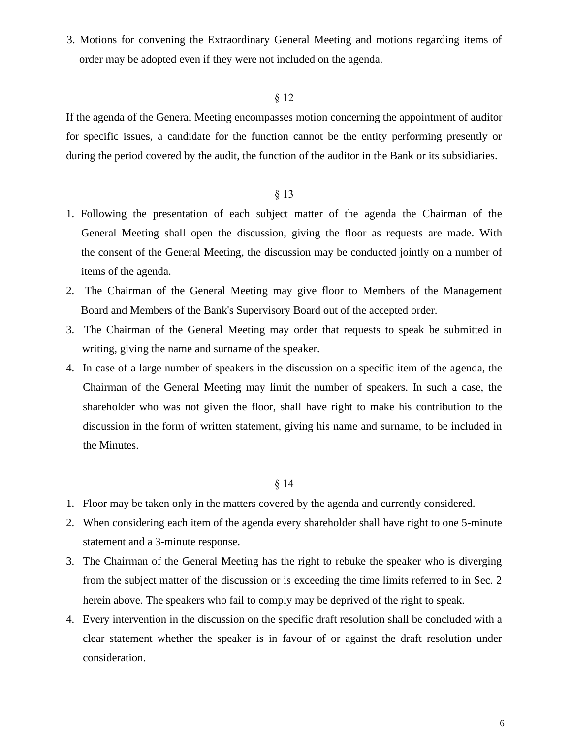3. Motions for convening the Extraordinary General Meeting and motions regarding items of order may be adopted even if they were not included on the agenda.

#### § 12

If the agenda of the General Meeting encompasses motion concerning the appointment of auditor for specific issues, a candidate for the function cannot be the entity performing presently or during the period covered by the audit, the function of the auditor in the Bank or its subsidiaries.

# § 13

- 1. Following the presentation of each subject matter of the agenda the Chairman of the General Meeting shall open the discussion, giving the floor as requests are made. With the consent of the General Meeting, the discussion may be conducted jointly on a number of items of the agenda.
- 2. The Chairman of the General Meeting may give floor to Members of the Management Board and Members of the Bank's Supervisory Board out of the accepted order.
- 3. The Chairman of the General Meeting may order that requests to speak be submitted in writing, giving the name and surname of the speaker.
- 4. In case of a large number of speakers in the discussion on a specific item of the agenda, the Chairman of the General Meeting may limit the number of speakers. In such a case, the shareholder who was not given the floor, shall have right to make his contribution to the discussion in the form of written statement, giving his name and surname, to be included in the Minutes.

- 1. Floor may be taken only in the matters covered by the agenda and currently considered.
- 2. When considering each item of the agenda every shareholder shall have right to one 5-minute statement and a 3-minute response.
- 3. The Chairman of the General Meeting has the right to rebuke the speaker who is diverging from the subject matter of the discussion or is exceeding the time limits referred to in Sec. 2 herein above. The speakers who fail to comply may be deprived of the right to speak.
- 4. Every intervention in the discussion on the specific draft resolution shall be concluded with a clear statement whether the speaker is in favour of or against the draft resolution under consideration.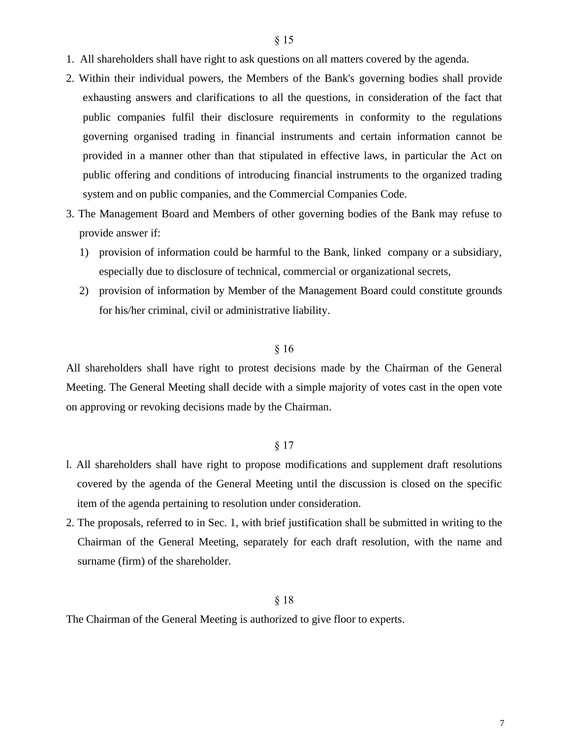- 1. All shareholders shall have right to ask questions on all matters covered by the agenda.
- 2. Within their individual powers, the Members of the Bank's governing bodies shall provide exhausting answers and clarifications to all the questions, in consideration of the fact that public companies fulfil their disclosure requirements in conformity to the regulations governing organised trading in financial instruments and certain information cannot be provided in a manner other than that stipulated in effective laws, in particular the Act on public offering and conditions of introducing financial instruments to the organized trading system and on public companies, and the Commercial Companies Code.
- 3. The Management Board and Members of other governing bodies of the Bank may refuse to provide answer if:
	- 1) provision of information could be harmful to the Bank, linked company or a subsidiary, especially due to disclosure of technical, commercial or organizational secrets,
	- 2) provision of information by Member of the Management Board could constitute grounds for his/her criminal, civil or administrative liability.

### § 16

All shareholders shall have right to protest decisions made by the Chairman of the General Meeting. The General Meeting shall decide with a simple majority of votes cast in the open vote on approving or revoking decisions made by the Chairman.

# § 17

- l. All shareholders shall have right to propose modifications and supplement draft resolutions covered by the agenda of the General Meeting until the discussion is closed on the specific item of the agenda pertaining to resolution under consideration.
- 2. The proposals, referred to in Sec. 1, with brief justification shall be submitted in writing to the Chairman of the General Meeting, separately for each draft resolution, with the name and surname (firm) of the shareholder.

# § 18

The Chairman of the General Meeting is authorized to give floor to experts.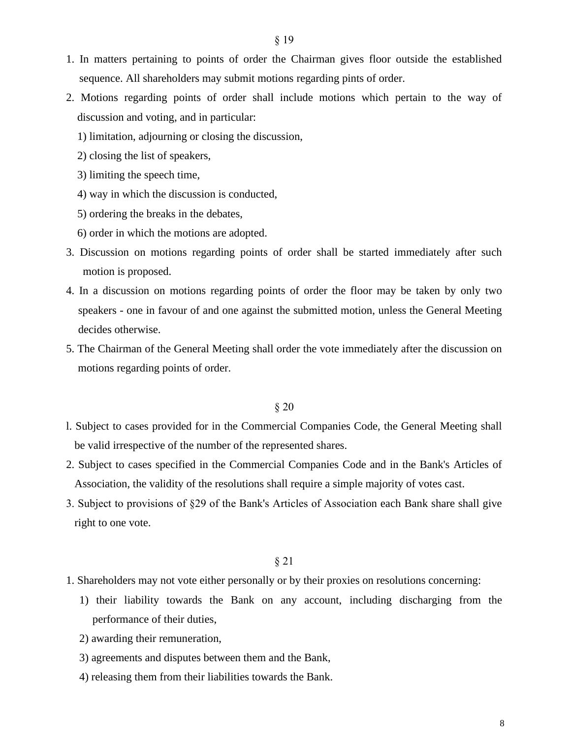- 1. In matters pertaining to points of order the Chairman gives floor outside the established sequence. All shareholders may submit motions regarding pints of order.
- 2. Motions regarding points of order shall include motions which pertain to the way of discussion and voting, and in particular:
	- 1) limitation, adjourning or closing the discussion,
	- 2) closing the list of speakers,
	- 3) limiting the speech time,
	- 4) way in which the discussion is conducted,
	- 5) ordering the breaks in the debates,
	- 6) order in which the motions are adopted.
- 3. Discussion on motions regarding points of order shall be started immediately after such motion is proposed.
- 4. In a discussion on motions regarding points of order the floor may be taken by only two speakers - one in favour of and one against the submitted motion, unless the General Meeting decides otherwise.
- 5. The Chairman of the General Meeting shall order the vote immediately after the discussion on motions regarding points of order.

#### § 20

- l. Subject to cases provided for in the Commercial Companies Code, the General Meeting shall be valid irrespective of the number of the represented shares.
- 2. Subject to cases specified in the Commercial Companies Code and in the Bank's Articles of Association, the validity of the resolutions shall require a simple majority of votes cast.
- 3. Subject to provisions of §29 of the Bank's Articles of Association each Bank share shall give right to one vote.

- 1. Shareholders may not vote either personally or by their proxies on resolutions concerning:
	- 1) their liability towards the Bank on any account, including discharging from the performance of their duties,
	- 2) awarding their remuneration,
	- 3) agreements and disputes between them and the Bank,
	- 4) releasing them from their liabilities towards the Bank.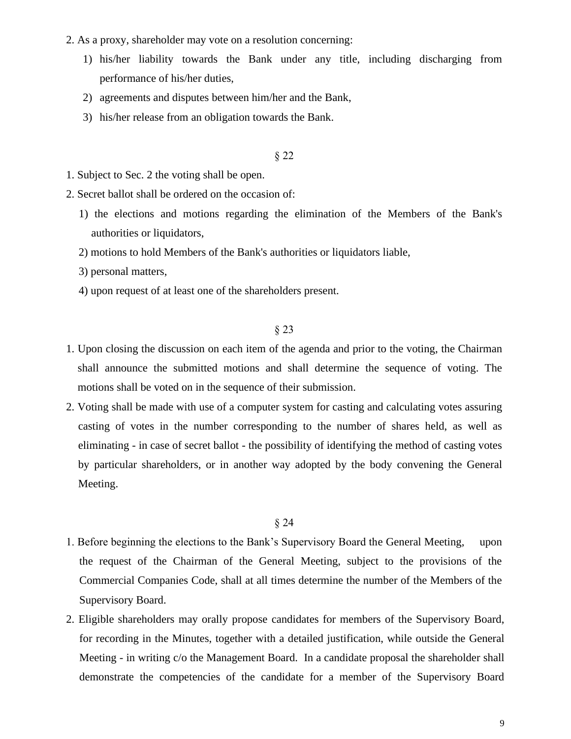- 2. As a proxy, shareholder may vote on a resolution concerning:
	- 1) his/her liability towards the Bank under any title, including discharging from performance of his/her duties,
	- 2) agreements and disputes between him/her and the Bank,
	- 3) his/her release from an obligation towards the Bank.

# § 22

- 1. Subject to Sec. 2 the voting shall be open.
- 2. Secret ballot shall be ordered on the occasion of:
	- 1) the elections and motions regarding the elimination of the Members of the Bank's authorities or liquidators,
	- 2) motions to hold Members of the Bank's authorities or liquidators liable,
	- 3) personal matters,
	- 4) upon request of at least one of the shareholders present.

### § 23

- 1. Upon closing the discussion on each item of the agenda and prior to the voting, the Chairman shall announce the submitted motions and shall determine the sequence of voting. The motions shall be voted on in the sequence of their submission.
- 2. Voting shall be made with use of a computer system for casting and calculating votes assuring casting of votes in the number corresponding to the number of shares held, as well as eliminating - in case of secret ballot - the possibility of identifying the method of casting votes by particular shareholders, or in another way adopted by the body convening the General Meeting.

- 1. Before beginning the elections to the Bank's Supervisory Board the General Meeting, upon the request of the Chairman of the General Meeting, subject to the provisions of the Commercial Companies Code, shall at all times determine the number of the Members of the Supervisory Board.
- 2. Eligible shareholders may orally propose candidates for members of the Supervisory Board, for recording in the Minutes, together with a detailed justification, while outside the General Meeting - in writing c/o the Management Board. In a candidate proposal the shareholder shall demonstrate the competencies of the candidate for a member of the Supervisory Board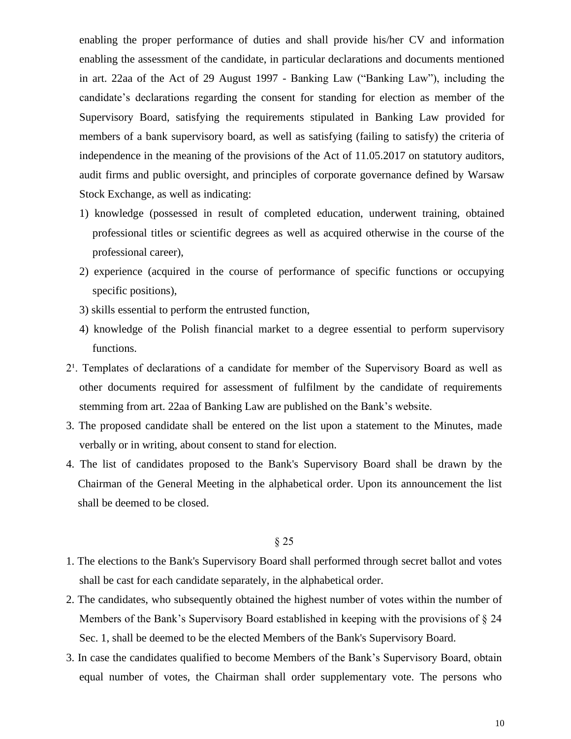enabling the proper performance of duties and shall provide his/her CV and information enabling the assessment of the candidate, in particular declarations and documents mentioned in art. 22aa of the Act of 29 August 1997 - Banking Law ("Banking Law"), including the candidate's declarations regarding the consent for standing for election as member of the Supervisory Board, satisfying the requirements stipulated in Banking Law provided for members of a bank supervisory board, as well as satisfying (failing to satisfy) the criteria of independence in the meaning of the provisions of the Act of 11.05.2017 on statutory auditors, audit firms and public oversight, and principles of corporate governance defined by Warsaw Stock Exchange, as well as indicating:

- 1) knowledge (possessed in result of completed education, underwent training, obtained professional titles or scientific degrees as well as acquired otherwise in the course of the professional career),
- 2) experience (acquired in the course of performance of specific functions or occupying specific positions),
- 3) skills essential to perform the entrusted function,
- 4) knowledge of the Polish financial market to a degree essential to perform supervisory functions.
- 2<sup>1</sup>. Templates of declarations of a candidate for member of the Supervisory Board as well as other documents required for assessment of fulfilment by the candidate of requirements stemming from art. 22aa of Banking Law are published on the Bank's website.
- 3. The proposed candidate shall be entered on the list upon a statement to the Minutes, made verbally or in writing, about consent to stand for election.
- 4. The list of candidates proposed to the Bank's Supervisory Board shall be drawn by the Chairman of the General Meeting in the alphabetical order. Upon its announcement the list shall be deemed to be closed.

- 1. The elections to the Bank's Supervisory Board shall performed through secret ballot and votes shall be cast for each candidate separately, in the alphabetical order.
- 2. The candidates, who subsequently obtained the highest number of votes within the number of Members of the Bank's Supervisory Board established in keeping with the provisions of § 24 Sec. 1, shall be deemed to be the elected Members of the Bank's Supervisory Board.
- 3. In case the candidates qualified to become Members of the Bank's Supervisory Board, obtain equal number of votes, the Chairman shall order supplementary vote. The persons who